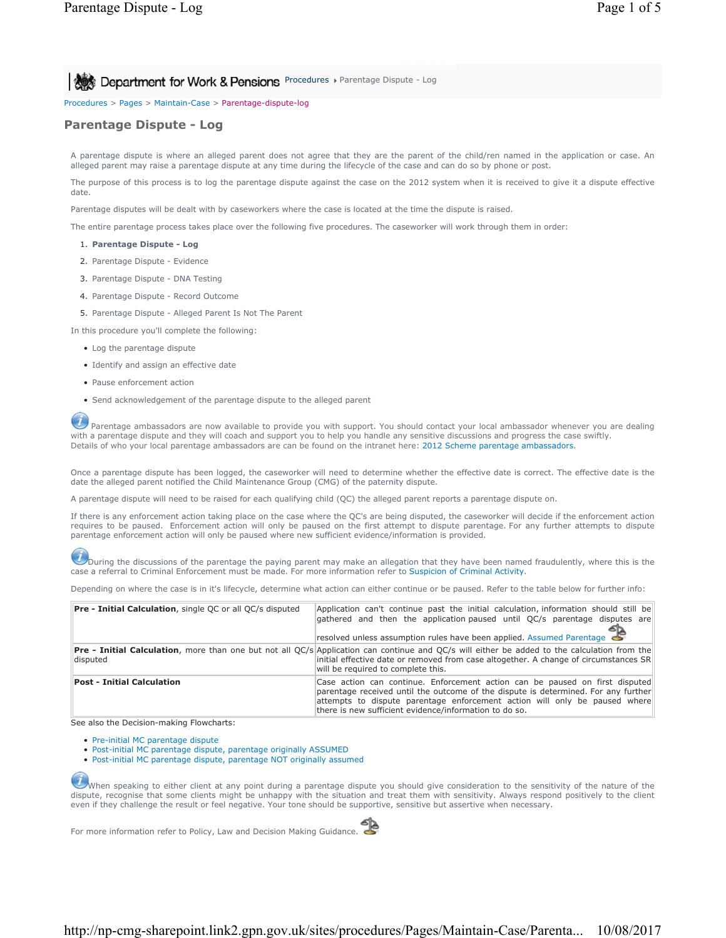**Post Department for Work & Pensions** Procedures > Parentage Dispute - Log

Procedures > Pages > Maintain-Case > Parentage-dispute-log

# **Parentage Dispute - Log**

A parentage dispute is where an alleged parent does not agree that they are the parent of the child/ren named in the application or case. An alleged parent may raise a parentage dispute at any time during the lifecycle of the case and can do so by phone or post.

The purpose of this process is to log the parentage dispute against the case on the 2012 system when it is received to give it a dispute effective date

Parentage disputes will be dealt with by caseworkers where the case is located at the time the dispute is raised.

The entire parentage process takes place over the following five procedures. The caseworker will work through them in order:

- 1. **Parentage Dispute Log**
- 2. Parentage Dispute Evidence
- 3. Parentage Dispute DNA Testing
- 4. Parentage Dispute Record Outcome
- 5. Parentage Dispute Alleged Parent Is Not The Parent
- In this procedure you'll complete the following:
	- Log the parentage dispute
	- Identify and assign an effective date
	- Pause enforcement action
	- Send acknowledgement of the parentage dispute to the alleged parent

Parentage ambassadors are now available to provide you with support. You should contact your local ambassador whenever you are dealing with a parentage dispute and they will coach and support you to help you handle any sensitive discussions and progress the case swiftly. Details of who your local parentage ambassadors are can be found on the intranet here: 2012 Scheme parentage ambassadors.

Once a parentage dispute has been logged, the caseworker will need to determine whether the effective date is correct. The effective date is the date the alleged parent notified the Child Maintenance Group (CMG) of the paternity dispute.

A parentage dispute will need to be raised for each qualifying child (QC) the alleged parent reports a parentage dispute on.

If there is any enforcement action taking place on the case where the QC's are being disputed, the caseworker will decide if the enforcement action requires to be paused. Enforcement action will only be paused on the first attempt to dispute parentage. For any further attempts to dispute parentage enforcement action will only be paused where new sufficient evidence/information is provided.

During the discussions of the parentage the paying parent may make an allegation that they have been named fraudulently, where this is the case a referral to Criminal Enforcement must be made. For more information refer to Suspicion of Criminal Activity.

Depending on where the case is in it's lifecycle, determine what action can either continue or be paused. Refer to the table below for further info:

| <b>Pre - Initial Calculation</b> , single QC or all QC/s disputed | Application can't continue past the initial calculation, information should still be<br>gathered and then the application paused until QC/s parentage disputes are<br>resolved unless assumption rules have been applied. Assumed Parentage $\blacktriangleright$                                          |
|-------------------------------------------------------------------|------------------------------------------------------------------------------------------------------------------------------------------------------------------------------------------------------------------------------------------------------------------------------------------------------------|
| disputed                                                          | <b>Pre - Initial Calculation</b> , more than one but not all QC/s Application can continue and QC/s will either be added to the calculation from the<br>initial effective date or removed from case altogether. A change of circumstances SR<br>will be required to complete this.                         |
| <b>Post - Initial Calculation</b>                                 | Case action can continue. Enforcement action can be paused on first disputed<br>parentage received until the outcome of the dispute is determined. For any further<br>attempts to dispute parentage enforcement action will only be paused where<br>there is new sufficient evidence/information to do so. |

See also the Decision-making Flowcharts:

- Pre-initial MC parentage dispute
- Post-initial MC parentage dispute, parentage originally ASSUMED
- Post-initial MC parentage dispute, parentage NOT originally assumed

When speaking to either client at any point during a parentage dispute you should give consideration to the sensitivity of the nature of the dispute, recognise that some clients might be unhappy with the situation and treat them with sensitivity. Always respond positively to the client even if they challenge the result or feel negative. Your tone should be supportive, sensitive but assertive when necessary.

For more information refer to Policy, Law and Decision Making Guidance.

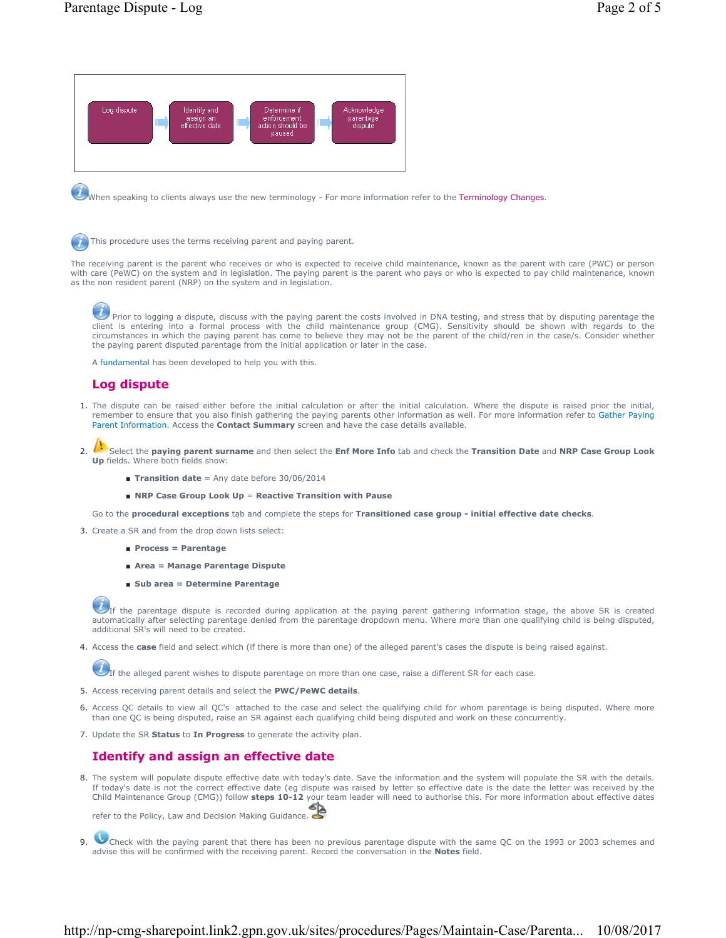

When speaking to clients always use the new terminology - For more information refer to the Terminology Changes.

This procedure uses the terms receiving parent and paying parent.

The receiving parent is the parent who receives or who is expected to receive child maintenance, known as the parent with care (PWC) or person with care (PeWC) on the system and in legislation. The paying parent is the parent who pays or who is expected to pay child maintenance, known as the non resident parent (NRP) on the system and in legislation.

Prior to logging a dispute, discuss with the paying parent the costs involved in DNA testing, and stress that by disputing parentage the paying in the paying parent to the client is entering into a formal process with the child maintenance group (CMG). Sensitivity should be shown with regards to the circumstances in which the paying parent has come to believe they may not be the parent of the child/ren in the case/s. Consider whether the paying parent disputed parentage from the initial application or later in the case.

A fundamental has been developed to help you with this.

## **Log dispute**

- 1. The dispute can be raised either before the initial calculation or after the initial calculation. Where the dispute is raised prior the initial, remember to ensure that you also finish gathering the paying parents other information as well. For more information refer to Gather Paying Parent Information. Access the **Contact Summary** screen and have the case details available.
- Select the **paying parent surname** and then select the **Enf More Info** tab and check the **Transition Date** and **NRP Case Group Look Up** fields. Where both fields show: 2.
	- **Transition date** = Any date before 30/06/2014
	- **NRP Case Group Look Up** = **Reactive Transition with Pause**

Go to the **procedural exceptions** tab and complete the steps for **Transitioned case group - initial effective date checks**.

- 3. Create a SR and from the drop down lists select:
	- **Process = Parentage**
	- **Area = Manage Parentage Dispute**
	- **Sub area = Determine Parentage**

If the parentage dispute is recorded during application at the paying parent gathering information stage, the above SR is created automatically after selecting parentage denied from the parentage dropdown menu. Where more than one qualifying child is being disputed, additional SR's will need to be created.

4. Access the **case** field and select which (if there is more than one) of the alleged parent's cases the dispute is being raised against.

 $U_{\text{If}}$  the alleged parent wishes to dispute parentage on more than one case, raise a different SR for each case.

- 5. Access receiving parent details and select the **PWC/PeWC details**.
- 6. Access QC details to view all QC's attached to the case and select the qualifying child for whom parentage is being disputed. Where more than one QC is being disputed, raise an SR against each qualifying child being disputed and work on these concurrently.
- 7. Update the SR **Status** to **In Progress** to generate the activity plan.

### **Identify and assign an effective date**

8. The system will populate dispute effective date with today's date. Save the information and the system will populate the SR with the details. If today's date is not the correct effective date (eg dispute was raised by letter so effective date is the date the letter was received by the Child Maintenance Group (CMG)) follow **steps 10-12** your team leader will need to authorise this. For more information about effective dates

refer to the Policy, Law and Decision Making Guidance.

Check with the paying parent that there has been no previous parentage dispute with the same QC on the 1993 or 2003 schemes and advise this will be confirmed with the receiving parent. Record the conversation in the **Notes** field. 9.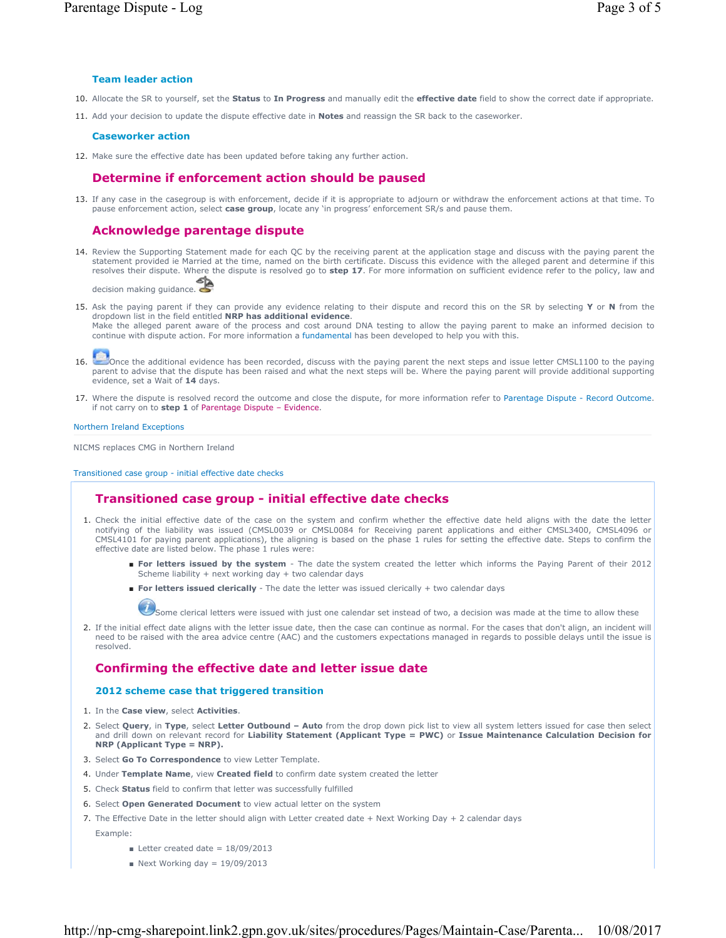## **Team leader action**

- 10. Allocate the SR to yourself, set the **Status** to **In Progress** and manually edit the **effective date** field to show the correct date if appropriate.
- 11. Add your decision to update the dispute effective date in **Notes** and reassign the SR back to the caseworker.

### **Caseworker action**

12. Make sure the effective date has been updated before taking any further action.

# **Determine if enforcement action should be paused**

13. If any case in the casegroup is with enforcement, decide if it is appropriate to adjourn or withdraw the enforcement actions at that time. To pause enforcement action, select **case group**, locate any 'in progress' enforcement SR/s and pause them.

# **Acknowledge parentage dispute**

14. Review the Supporting Statement made for each QC by the receiving parent at the application stage and discuss with the paying parent the statement provided ie Married at the time, named on the birth certificate. Discuss this evidence with the alleged parent and determine if this resolves their dispute. Where the dispute is resolved go to **step 17**. For more information on sufficient evidence refer to the policy, law and

decision making guidance.

15. Ask the paying parent if they can provide any evidence relating to their dispute and record this on the SR by selecting **Y** or **N** from the dropdown list in the field entitled **NRP has additional evidence**.

Make the alleged parent aware of the process and cost around DNA testing to allow the paying parent to make an informed decision to continue with dispute action. For more information a fundamental has been developed to help you with this.



16. Once the additional evidence has been recorded, discuss with the paying parent the next steps and issue letter CMSL1100 to the paying parent to advise that the dispute has been raised and what the next steps will be. Where the paying parent will provide additional supporting evidence, set a Wait of **14** days.

17. Where the dispute is resolved record the outcome and close the dispute, for more information refer to Parentage Dispute - Record Outcome. if not carry on to **step 1** of Parentage Dispute – Evidence.

Northern Ireland Exceptions

NICMS replaces CMG in Northern Ireland

Transitioned case group - initial effective date checks

# **Transitioned case group - initial effective date checks**

- 1. Check the initial effective date of the case on the system and confirm whether the effective date held aligns with the date the letter notifying of the liability was issued (CMSL0039 or CMSL0084 for Receiving parent applications and either CMSL3400, CMSL4096 or CMSL4101 for paying parent applications), the aligning is based on the phase 1 rules for setting the effective date. Steps to confirm the effective date are listed below. The phase 1 rules were:
	- For letters issued by the system The date the system created the letter which informs the Paying Parent of their 2012 Scheme liability + next working day + two calendar days
	- **For letters issued clerically** The date the letter was issued clerically + two calendar days

Some clerical letters were issued with just one calendar set instead of two, a decision was made at the time to allow these

2. If the initial effect date aligns with the letter issue date, then the case can continue as normal. For the cases that don't align, an incident will need to be raised with the area advice centre (AAC) and the customers expectations managed in regards to possible delays until the issue is resolved.

# **Confirming the effective date and letter issue date**

#### **2012 scheme case that triggered transition**

- 1. In the **Case view**, select **Activities**.
- 2. Select Query, in Type, select Letter Outbound Auto from the drop down pick list to view all system letters issued for case then select and drill down on relevant record for **Liability Statement (Applicant Type = PWC)** or **Issue Maintenance Calculation Decision for NRP (Applicant Type = NRP).**
- 3. Select **Go To Correspondence** to view Letter Template.
- 4. Under **Template Name**, view **Created field** to confirm date system created the letter
- 5. Check **Status** field to confirm that letter was successfully fulfilled
- 6. Select **Open Generated Document** to view actual letter on the system
- 7. The Effective Date in the letter should align with Letter created date + Next Working Day + 2 calendar days
	- Example:
		- $\blacksquare$  Letter created date = 18/09/2013
		- $\blacksquare$  Next Working day = 19/09/2013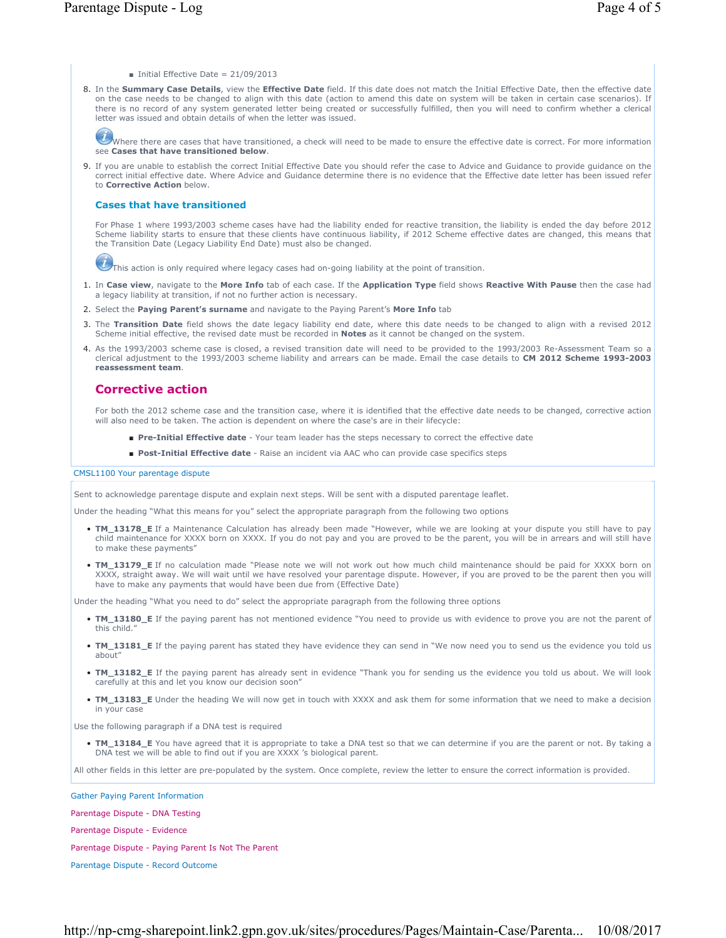- $\blacksquare$  Initial Effective Date = 21/09/2013
- 8. In the Summary Case Details, view the Effective Date field. If this date does not match the Initial Effective Date, then the effective date on the case needs to be changed to align with this date (action to amend this date on system will be taken in certain case scenarios). If there is no record of any system generated letter being created or successfully fulfilled, then you will need to confirm whether a clerical letter was issued and obtain details of when the letter was issued.

Where there are cases that have transitioned, a check will need to be made to ensure the effective date is correct. For more information see **Cases that have transitioned below**.

If you are unable to establish the correct Initial Effective Date you should refer the case to Advice and Guidance to provide guidance on the 9. correct initial effective date. Where Advice and Guidance determine there is no evidence that the Effective date letter has been issued refer to **Corrective Action** below.

### **Cases that have transitioned**

For Phase 1 where 1993/2003 scheme cases have had the liability ended for reactive transition, the liability is ended the day before 2012 Scheme liability starts to ensure that these clients have continuous liability, if 2012 Scheme effective dates are changed, this means that the Transition Date (Legacy Liability End Date) must also be changed.

 $\boldsymbol{u}$ This action is only required where legacy cases had on-going liability at the point of transition.

- 1. In Case view, navigate to the More Info tab of each case. If the Application Type field shows Reactive With Pause then the case had a legacy liability at transition, if not no further action is necessary.
- 2. Select the **Paying Parent's surname** and navigate to the Paying Parent's **More Info** tab
- 3. The Transition Date field shows the date legacy liability end date, where this date needs to be changed to align with a revised 2012 Scheme initial effective, the revised date must be recorded in **Notes** as it cannot be changed on the system.
- 4. As the 1993/2003 scheme case is closed, a revised transition date will need to be provided to the 1993/2003 Re-Assessment Team so a clerical adjustment to the 1993/2003 scheme liability and arrears can be made. Email the case details to **CM 2012 Scheme 1993-2003 reassessment team**.

## **Corrective action**

For both the 2012 scheme case and the transition case, where it is identified that the effective date needs to be changed, corrective action will also need to be taken. The action is dependent on where the case's are in their lifecycle:

- **Pre-Initial Effective date** Your team leader has the steps necessary to correct the effective date
- **Post-Initial Effective date** Raise an incident via AAC who can provide case specifics steps

#### CMSL1100 Your parentage dispute

Sent to acknowledge parentage dispute and explain next steps. Will be sent with a disputed parentage leaflet.

Under the heading "What this means for you" select the appropriate paragraph from the following two options

- **TM\_13178\_E** If a Maintenance Calculation has already been made "However, while we are looking at your dispute you still have to pay child maintenance for XXXX born on XXXX. If you do not pay and you are proved to be the parent, you will be in arrears and will still have to make these payments"
- **TM\_13179\_E** If no calculation made "Please note we will not work out how much child maintenance should be paid for XXXX born on XXXX, straight away. We will wait until we have resolved your parentage dispute. However, if you are proved to be the parent then you will have to make any payments that would have been due from (Effective Date)

Under the heading "What you need to do" select the appropriate paragraph from the following three options

- **TM\_13180\_E** If the paying parent has not mentioned evidence "You need to provide us with evidence to prove you are not the parent of this child."
- **TM\_13181\_E** If the paying parent has stated they have evidence they can send in "We now need you to send us the evidence you told us about"
- **TM\_13182\_E** If the paying parent has already sent in evidence "Thank you for sending us the evidence you told us about. We will look carefully at this and let you know our decision soon"
- TM\_13183\_E Under the heading We will now get in touch with XXXX and ask them for some information that we need to make a decision in your case

Use the following paragraph if a DNA test is required

• **TM\_13184\_E** You have agreed that it is appropriate to take a DNA test so that we can determine if you are the parent or not. By taking a DNA test we will be able to find out if you are XXXX 's biological parent.

All other fields in this letter are pre-populated by the system. Once complete, review the letter to ensure the correct information is provided.

Gather Paying Parent Information

Parentage Dispute - DNA Testing

Parentage Dispute - Evidence

Parentage Dispute - Paying Parent Is Not The Parent

Parentage Dispute - Record Outcome